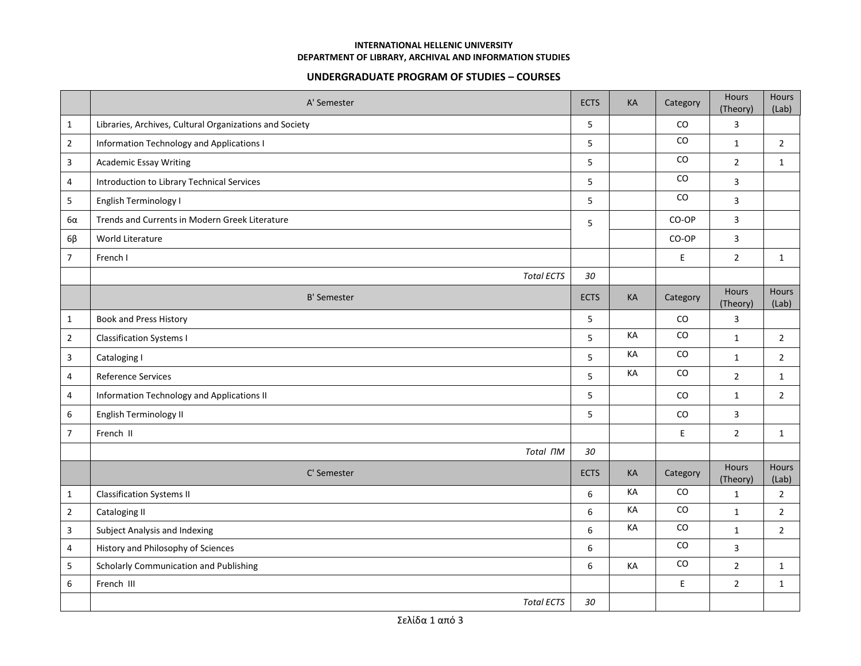## **INTERNATIONAL HELLENIC UNIVERSITY DEPARTMENT OF LIBRARY, ARCHIVAL AND INFORMATION STUDIES**

## **UNDERGRADUATE PROGRAM OF STUDIES – COURSES**

|                  | A' Semester                                             | <b>ECTS</b>      | KA        | Category    | Hours<br>(Theory) | Hours<br>(Lab)        |
|------------------|---------------------------------------------------------|------------------|-----------|-------------|-------------------|-----------------------|
| $\mathbf{1}$     | Libraries, Archives, Cultural Organizations and Society | 5                |           | CO          | 3                 |                       |
| $\overline{2}$   | Information Technology and Applications I               | 5                |           | CO          | $\mathbf{1}$      | $\overline{2}$        |
| 3                | <b>Academic Essay Writing</b>                           | 5                |           | CO          | $\overline{2}$    | $\mathbf{1}$          |
| 4                | Introduction to Library Technical Services              | 5                |           | CO          | $\overline{3}$    |                       |
| 5                | English Terminology I                                   | 5                |           | CO          | 3                 |                       |
| 6α               | Trends and Currents in Modern Greek Literature          | 5                |           | CO-OP       | 3                 |                       |
| $6\beta$         | World Literature                                        |                  |           | CO-OP       | $\mathsf{3}$      |                       |
| $\overline{7}$   | French I                                                |                  |           | $\mathsf E$ | $\overline{2}$    | $\mathbf{1}$          |
|                  | <b>Total ECTS</b>                                       | 30               |           |             |                   |                       |
|                  | <b>B' Semester</b>                                      | <b>ECTS</b>      | <b>KA</b> | Category    | Hours<br>(Theory) | <b>Hours</b><br>(Lab) |
| $\mathbf{1}$     | <b>Book and Press History</b>                           | 5                |           | CO          | $\mathsf{3}$      |                       |
| $\overline{2}$   | <b>Classification Systems I</b>                         | 5                | KA        | CO          | $\mathbf{1}$      | $\overline{2}$        |
| $\overline{3}$   | Cataloging I                                            | 5                | KA        | CO          | $\mathbf{1}$      | $\overline{2}$        |
| 4                | <b>Reference Services</b>                               | 5                | KA        | CO          | $\overline{2}$    | 1                     |
| 4                | Information Technology and Applications II              | 5                |           | CO          | $\mathbf{1}$      | $2^{\circ}$           |
| $\boldsymbol{6}$ | English Terminology II                                  | 5                |           | CO          | 3                 |                       |
| $\overline{7}$   | French II                                               |                  |           | E           | $\overline{2}$    | 1                     |
|                  | Total <sub>ΠΜ</sub>                                     | 30               |           |             |                   |                       |
|                  | C' Semester                                             | <b>ECTS</b>      | KA        | Category    | Hours<br>(Theory) | <b>Hours</b><br>(Lab) |
| $\mathbf{1}$     | <b>Classification Systems II</b>                        | 6                | KA        | CO          | $\mathbf{1}$      | $\overline{2}$        |
| $\overline{2}$   | Cataloging II                                           | $\boldsymbol{6}$ | KA        | CO          | $\mathbf{1}$      | $\overline{2}$        |
| 3                | Subject Analysis and Indexing                           | 6                | KA        | CO          | $\mathbf{1}$      | $\overline{2}$        |
| $\overline{4}$   | History and Philosophy of Sciences                      | 6                |           | CO          | 3                 |                       |
| 5                | Scholarly Communication and Publishing                  | 6                | KA        | CO          | $\overline{2}$    | $\mathbf{1}$          |
| 6                | French III                                              |                  |           | E           | $\overline{2}$    | $\mathbf{1}$          |
|                  | <b>Total ECTS</b>                                       | 30               |           |             |                   |                       |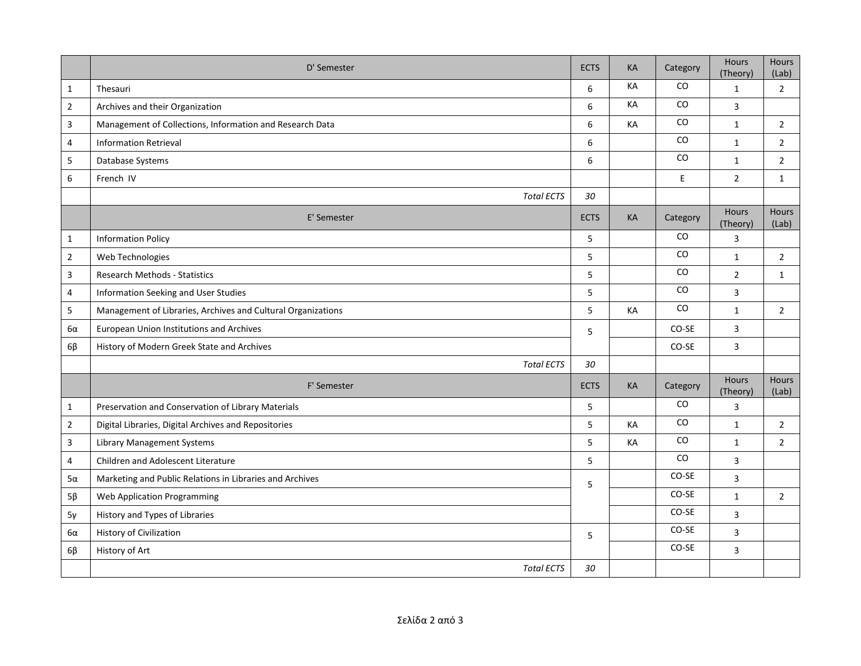|                | D' Semester                                                  | <b>ECTS</b> | KA | Category  | Hours<br>(Theory)        | <b>Hours</b><br>(Lab) |
|----------------|--------------------------------------------------------------|-------------|----|-----------|--------------------------|-----------------------|
| $\mathbf{1}$   | Thesauri                                                     | 6           | KA | CO        | $\mathbf{1}$             | $\overline{2}$        |
| $\overline{2}$ | Archives and their Organization                              | 6           | KA | CO        | 3                        |                       |
| 3              | Management of Collections, Information and Research Data     | 6           | КA | <b>CO</b> | $\mathbf{1}$             | $\overline{2}$        |
| 4              | <b>Information Retrieval</b>                                 | 6           |    | CO        | $\mathbf{1}$             | $2^{\circ}$           |
| 5              | Database Systems                                             | 6           |    | CO        | $\mathbf{1}$             | $\overline{2}$        |
| 6              | French IV                                                    |             |    | E.        | $\overline{2}$           | $\mathbf{1}$          |
|                | <b>Total ECTS</b>                                            | 30          |    |           |                          |                       |
|                | E' Semester                                                  | <b>ECTS</b> | KA | Category  | <b>Hours</b><br>(Theory) | <b>Hours</b><br>(Lab) |
| $\mathbf{1}$   | <b>Information Policy</b>                                    | 5           |    | CO        | $\overline{3}$           |                       |
| $\overline{2}$ | Web Technologies                                             | 5           |    | CO        | $\mathbf{1}$             | $\overline{2}$        |
| 3              | Research Methods - Statistics                                | 5           |    | CO        | $\overline{2}$           | $\mathbf{1}$          |
| $\overline{4}$ | Information Seeking and User Studies                         | 5           |    | CO        | $\overline{3}$           |                       |
| 5              | Management of Libraries, Archives and Cultural Organizations | 5           | KA | CO        | $\mathbf{1}$             | $\overline{2}$        |
| 6α             | European Union Institutions and Archives                     | 5           |    | CO-SE     | 3                        |                       |
| $6\beta$       | History of Modern Greek State and Archives                   |             |    | CO-SE     | $\overline{3}$           |                       |
|                | <b>Total ECTS</b>                                            | 30          |    |           |                          |                       |
|                | F' Semester                                                  | <b>ECTS</b> | KA | Category  | Hours<br>(Theory)        | Hours<br>(Lab)        |
| $\mathbf{1}$   | Preservation and Conservation of Library Materials           | 5           |    | CO        | 3                        |                       |
| $\overline{2}$ | Digital Libraries, Digital Archives and Repositories         | 5           | KA | CO        | $\mathbf{1}$             | $\overline{2}$        |
| 3              | <b>Library Management Systems</b>                            | 5           | KA | CO        | $\mathbf{1}$             | $\overline{2}$        |
| $\overline{4}$ | Children and Adolescent Literature                           | 5           |    | CO        | 3                        |                       |
| 5α             | Marketing and Public Relations in Libraries and Archives     | 5           |    | $CO-SE$   | 3                        |                       |
| $5\beta$       | <b>Web Application Programming</b>                           |             |    | CO-SE     | $\mathbf{1}$             | $\overline{2}$        |
| $5\gamma$      | History and Types of Libraries                               |             |    | CO-SE     | 3                        |                       |
| 6α             | <b>History of Civilization</b>                               | 5           |    | CO-SE     | $\overline{3}$           |                       |
| $6\beta$       | History of Art                                               |             |    | CO-SE     | $\overline{3}$           |                       |
|                | <b>Total ECTS</b>                                            | 30          |    |           |                          |                       |